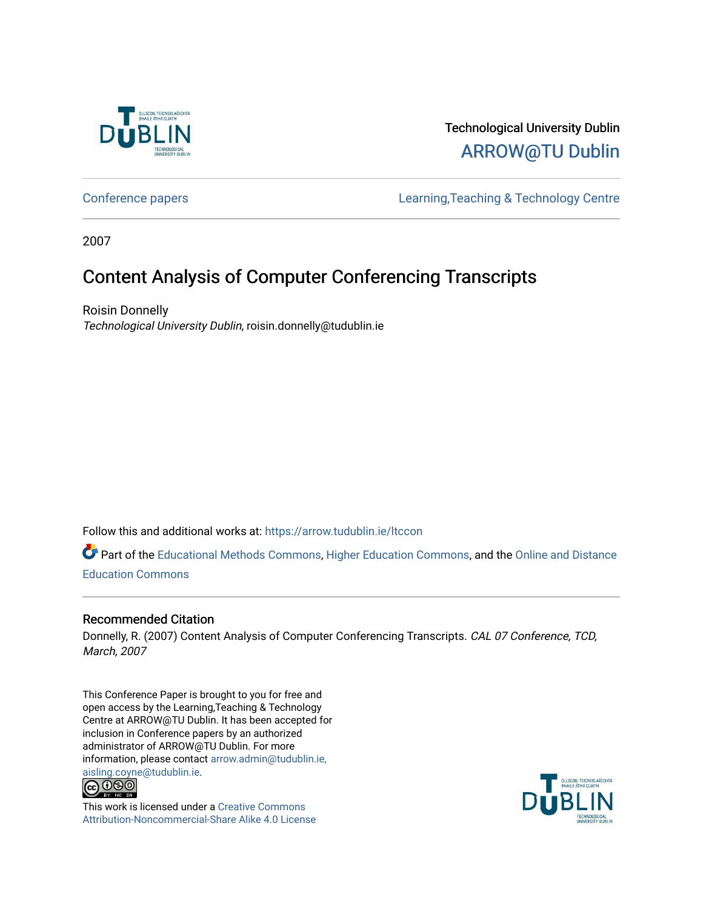

## Technological University Dublin [ARROW@TU Dublin](https://arrow.tudublin.ie/)

[Conference papers](https://arrow.tudublin.ie/ltccon) [Learning,Teaching & Technology Centre](https://arrow.tudublin.ie/ltc) 

2007

# Content Analysis of Computer Conferencing Transcripts

Roisin Donnelly Technological University Dublin, roisin.donnelly@tudublin.ie

Follow this and additional works at: [https://arrow.tudublin.ie/ltccon](https://arrow.tudublin.ie/ltccon?utm_source=arrow.tudublin.ie%2Fltccon%2F26&utm_medium=PDF&utm_campaign=PDFCoverPages)

Part of the [Educational Methods Commons,](http://network.bepress.com/hgg/discipline/1227?utm_source=arrow.tudublin.ie%2Fltccon%2F26&utm_medium=PDF&utm_campaign=PDFCoverPages) [Higher Education Commons](http://network.bepress.com/hgg/discipline/1245?utm_source=arrow.tudublin.ie%2Fltccon%2F26&utm_medium=PDF&utm_campaign=PDFCoverPages), and the [Online and Distance](http://network.bepress.com/hgg/discipline/1296?utm_source=arrow.tudublin.ie%2Fltccon%2F26&utm_medium=PDF&utm_campaign=PDFCoverPages)  [Education Commons](http://network.bepress.com/hgg/discipline/1296?utm_source=arrow.tudublin.ie%2Fltccon%2F26&utm_medium=PDF&utm_campaign=PDFCoverPages) 

## Recommended Citation

Donnelly, R. (2007) Content Analysis of Computer Conferencing Transcripts. CAL 07 Conference, TCD, March, 2007

This Conference Paper is brought to you for free and open access by the Learning,Teaching & Technology Centre at ARROW@TU Dublin. It has been accepted for inclusion in Conference papers by an authorized administrator of ARROW@TU Dublin. For more information, please contact [arrow.admin@tudublin.ie,](mailto:arrow.admin@tudublin.ie,%20aisling.coyne@tudublin.ie)  [aisling.coyne@tudublin.ie.](mailto:arrow.admin@tudublin.ie,%20aisling.coyne@tudublin.ie)<br>© 090



This work is licensed under a [Creative Commons](http://creativecommons.org/licenses/by-nc-sa/4.0/) [Attribution-Noncommercial-Share Alike 4.0 License](http://creativecommons.org/licenses/by-nc-sa/4.0/)

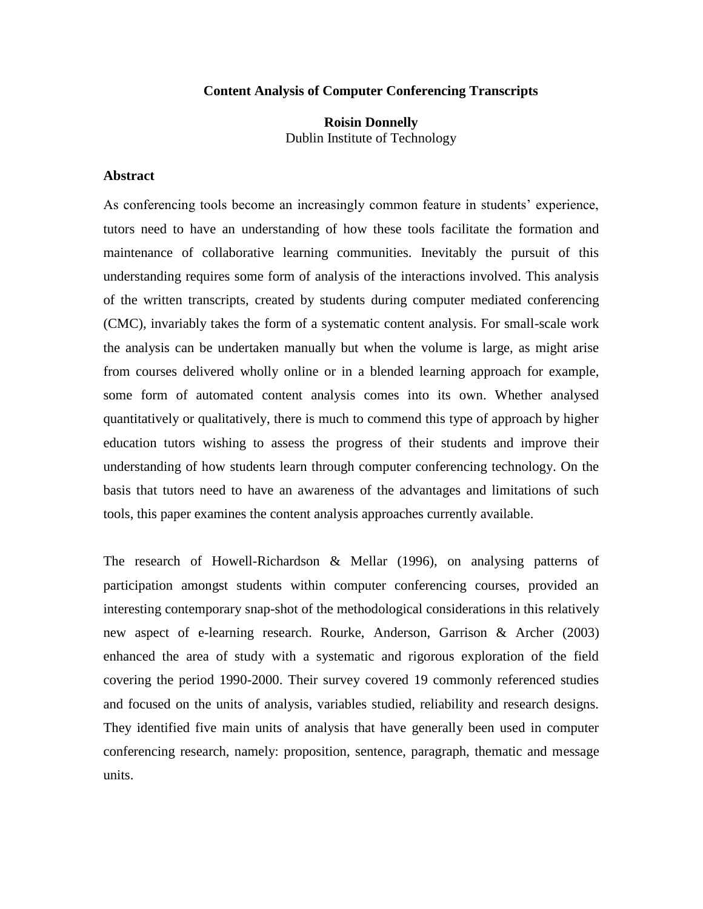#### **Content Analysis of Computer Conferencing Transcripts**

### **Roisin Donnelly** Dublin Institute of Technology

#### **Abstract**

As conferencing tools become an increasingly common feature in students' experience, tutors need to have an understanding of how these tools facilitate the formation and maintenance of collaborative learning communities. Inevitably the pursuit of this understanding requires some form of analysis of the interactions involved. This analysis of the written transcripts, created by students during computer mediated conferencing (CMC), invariably takes the form of a systematic content analysis. For small-scale work the analysis can be undertaken manually but when the volume is large, as might arise from courses delivered wholly online or in a blended learning approach for example, some form of automated content analysis comes into its own. Whether analysed quantitatively or qualitatively, there is much to commend this type of approach by higher education tutors wishing to assess the progress of their students and improve their understanding of how students learn through computer conferencing technology. On the basis that tutors need to have an awareness of the advantages and limitations of such tools, this paper examines the content analysis approaches currently available.

The research of Howell-Richardson & Mellar (1996), on analysing patterns of participation amongst students within computer conferencing courses, provided an interesting contemporary snap-shot of the methodological considerations in this relatively new aspect of e-learning research. Rourke, Anderson, Garrison & Archer (2003) enhanced the area of study with a systematic and rigorous exploration of the field covering the period 1990-2000. Their survey covered 19 commonly referenced studies and focused on the units of analysis, variables studied, reliability and research designs. They identified five main units of analysis that have generally been used in computer conferencing research, namely: proposition, sentence, paragraph, thematic and message units.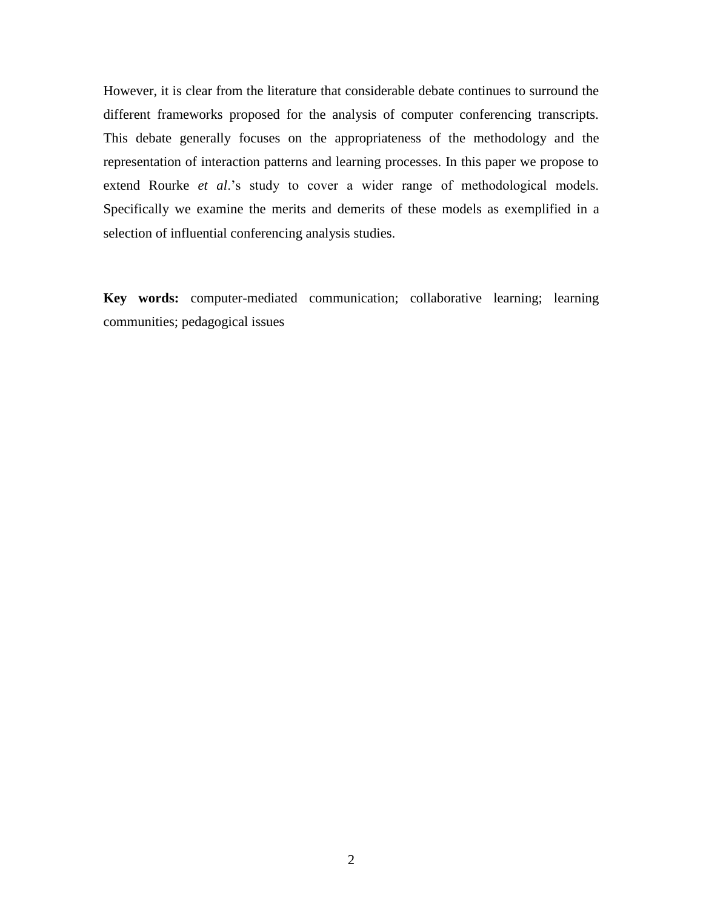However, it is clear from the literature that considerable debate continues to surround the different frameworks proposed for the analysis of computer conferencing transcripts. This debate generally focuses on the appropriateness of the methodology and the representation of interaction patterns and learning processes. In this paper we propose to extend Rourke *et al*.'s study to cover a wider range of methodological models. Specifically we examine the merits and demerits of these models as exemplified in a selection of influential conferencing analysis studies.

**Key words:** computer-mediated communication; collaborative learning; learning communities; pedagogical issues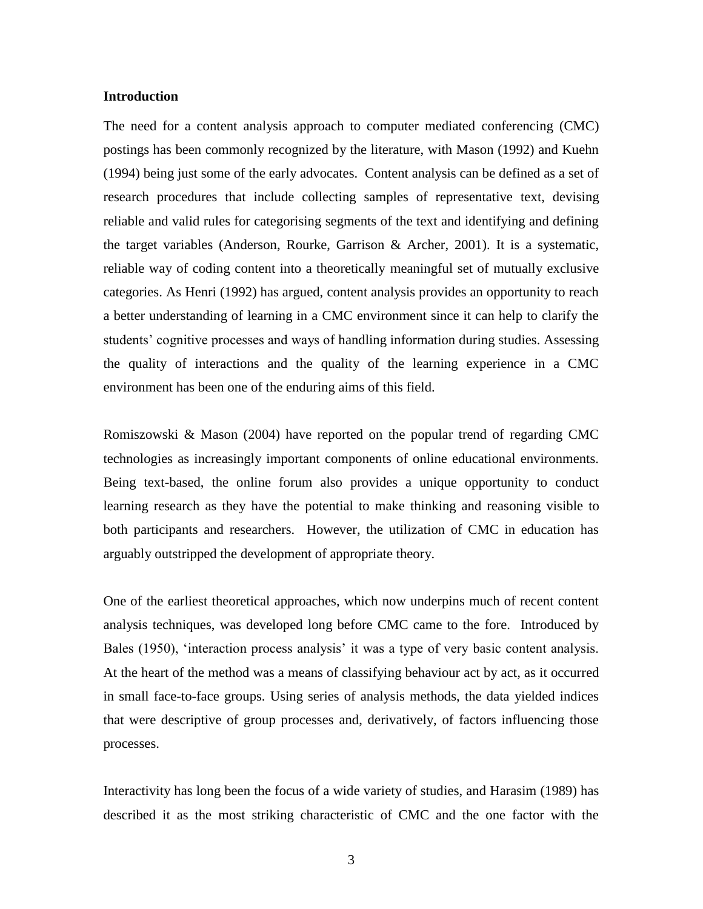#### **Introduction**

The need for a content analysis approach to computer mediated conferencing (CMC) postings has been commonly recognized by the literature, with Mason (1992) and Kuehn (1994) being just some of the early advocates. Content analysis can be defined as a set of research procedures that include collecting samples of representative text, devising reliable and valid rules for categorising segments of the text and identifying and defining the target variables (Anderson, Rourke, Garrison & Archer, 2001). It is a systematic, reliable way of coding content into a theoretically meaningful set of mutually exclusive categories. As Henri (1992) has argued, content analysis provides an opportunity to reach a better understanding of learning in a CMC environment since it can help to clarify the students' cognitive processes and ways of handling information during studies. Assessing the quality of interactions and the quality of the learning experience in a CMC environment has been one of the enduring aims of this field.

Romiszowski & Mason (2004) have reported on the popular trend of regarding CMC technologies as increasingly important components of online educational environments. Being text-based, the online forum also provides a unique opportunity to conduct learning research as they have the potential to make thinking and reasoning visible to both participants and researchers. However, the utilization of CMC in education has arguably outstripped the development of appropriate theory.

One of the earliest theoretical approaches, which now underpins much of recent content analysis techniques, was developed long before CMC came to the fore. Introduced by Bales (1950), 'interaction process analysis' it was a type of very basic content analysis. At the heart of the method was a means of classifying behaviour act by act, as it occurred in small face-to-face groups. Using series of analysis methods, the data yielded indices that were descriptive of group processes and, derivatively, of factors influencing those processes.

Interactivity has long been the focus of a wide variety of studies, and Harasim (1989) has described it as the most striking characteristic of CMC and the one factor with the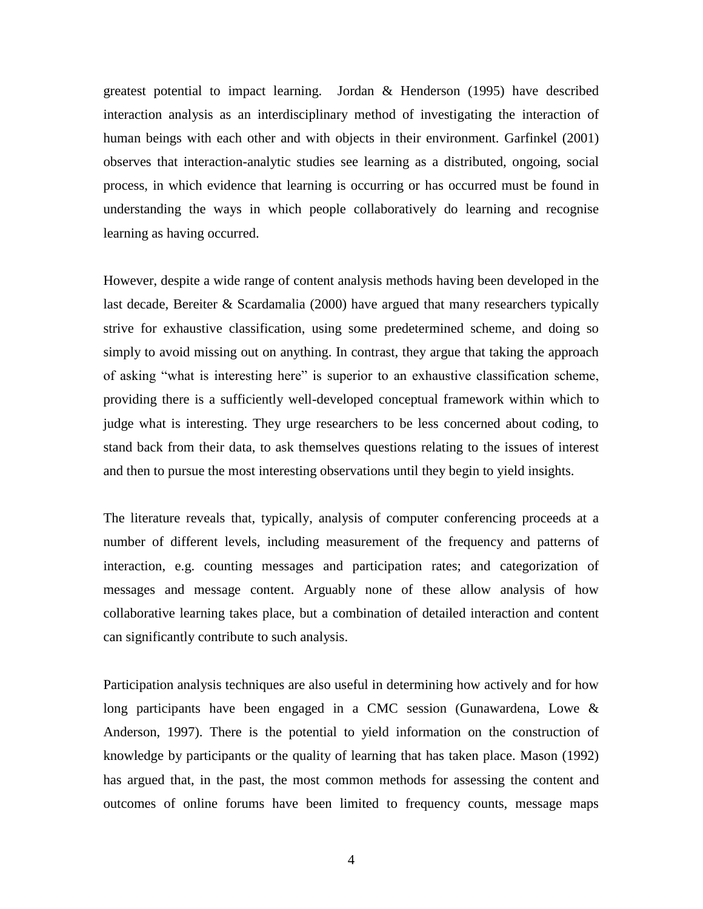greatest potential to impact learning. Jordan & Henderson (1995) have described interaction analysis as an interdisciplinary method of investigating the interaction of human beings with each other and with objects in their environment. Garfinkel (2001) observes that interaction-analytic studies see learning as a distributed, ongoing, social process, in which evidence that learning is occurring or has occurred must be found in understanding the ways in which people collaboratively do learning and recognise learning as having occurred.

However, despite a wide range of content analysis methods having been developed in the last decade, Bereiter & Scardamalia (2000) have argued that many researchers typically strive for exhaustive classification, using some predetermined scheme, and doing so simply to avoid missing out on anything. In contrast, they argue that taking the approach of asking "what is interesting here" is superior to an exhaustive classification scheme, providing there is a sufficiently well-developed conceptual framework within which to judge what is interesting. They urge researchers to be less concerned about coding, to stand back from their data, to ask themselves questions relating to the issues of interest and then to pursue the most interesting observations until they begin to yield insights.

The literature reveals that, typically, analysis of computer conferencing proceeds at a number of different levels, including measurement of the frequency and patterns of interaction, e.g. counting messages and participation rates; and categorization of messages and message content. Arguably none of these allow analysis of how collaborative learning takes place, but a combination of detailed interaction and content can significantly contribute to such analysis.

Participation analysis techniques are also useful in determining how actively and for how long participants have been engaged in a CMC session (Gunawardena, Lowe & Anderson, 1997). There is the potential to yield information on the construction of knowledge by participants or the quality of learning that has taken place. Mason (1992) has argued that, in the past, the most common methods for assessing the content and outcomes of online forums have been limited to frequency counts, message maps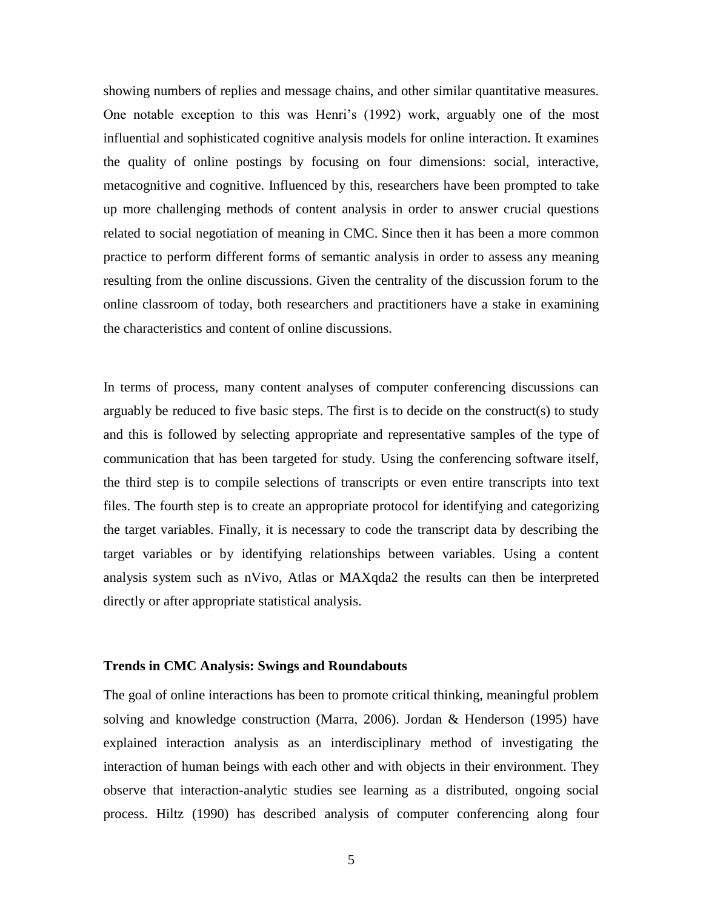showing numbers of replies and message chains, and other similar quantitative measures. One notable exception to this was Henri's (1992) work, arguably one of the most influential and sophisticated cognitive analysis models for online interaction. It examines the quality of online postings by focusing on four dimensions: social, interactive, metacognitive and cognitive. Influenced by this, researchers have been prompted to take up more challenging methods of content analysis in order to answer crucial questions related to social negotiation of meaning in CMC. Since then it has been a more common practice to perform different forms of semantic analysis in order to assess any meaning resulting from the online discussions. Given the centrality of the discussion forum to the online classroom of today, both researchers and practitioners have a stake in examining the characteristics and content of online discussions.

In terms of process, many content analyses of computer conferencing discussions can arguably be reduced to five basic steps. The first is to decide on the construct(s) to study and this is followed by selecting appropriate and representative samples of the type of communication that has been targeted for study. Using the conferencing software itself, the third step is to compile selections of transcripts or even entire transcripts into text files. The fourth step is to create an appropriate protocol for identifying and categorizing the target variables. Finally, it is necessary to code the transcript data by describing the target variables or by identifying relationships between variables. Using a content analysis system such as nVivo, Atlas or MAXqda2 the results can then be interpreted directly or after appropriate statistical analysis.

#### **Trends in CMC Analysis: Swings and Roundabouts**

The goal of online interactions has been to promote critical thinking, meaningful problem solving and knowledge construction (Marra, 2006). Jordan & Henderson (1995) have explained interaction analysis as an interdisciplinary method of investigating the interaction of human beings with each other and with objects in their environment. They observe that interaction-analytic studies see learning as a distributed, ongoing social process. Hiltz (1990) has described analysis of computer conferencing along four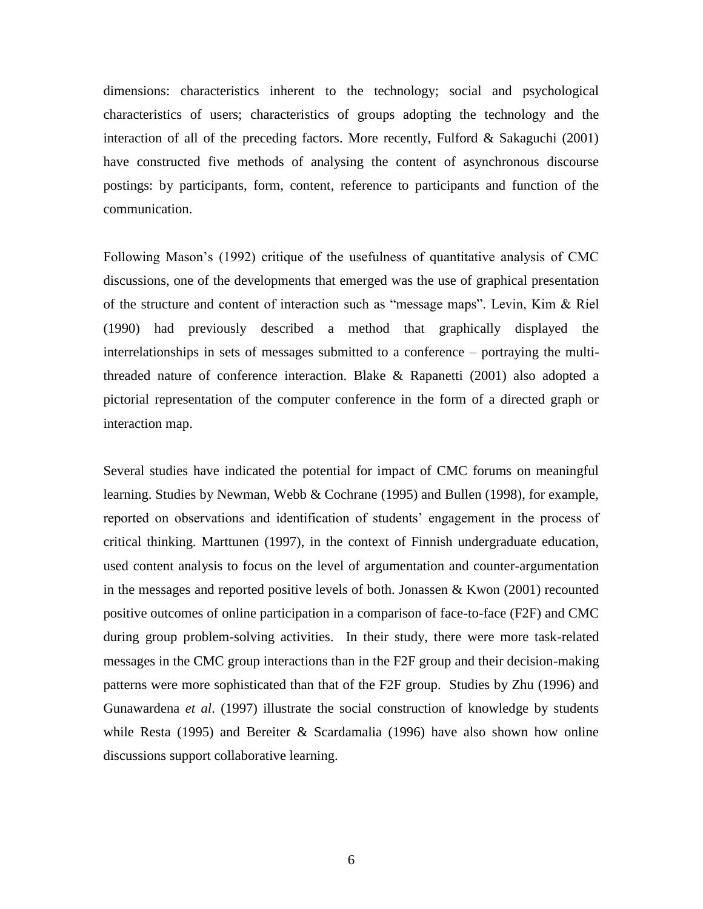dimensions: characteristics inherent to the technology; social and psychological characteristics of users; characteristics of groups adopting the technology and the interaction of all of the preceding factors. More recently, Fulford  $&$  Sakaguchi (2001) have constructed five methods of analysing the content of asynchronous discourse postings: by participants, form, content, reference to participants and function of the communication.

Following Mason's (1992) critique of the usefulness of quantitative analysis of CMC discussions, one of the developments that emerged was the use of graphical presentation of the structure and content of interaction such as "message maps". Levin, Kim & Riel (1990) had previously described a method that graphically displayed the interrelationships in sets of messages submitted to a conference – portraying the multithreaded nature of conference interaction. Blake & Rapanetti (2001) also adopted a pictorial representation of the computer conference in the form of a directed graph or interaction map.

Several studies have indicated the potential for impact of CMC forums on meaningful learning. Studies by Newman, Webb & Cochrane (1995) and Bullen (1998), for example, reported on observations and identification of students' engagement in the process of critical thinking. Marttunen (1997), in the context of Finnish undergraduate education, used content analysis to focus on the level of argumentation and counter-argumentation in the messages and reported positive levels of both. Jonassen & Kwon (2001) recounted positive outcomes of online participation in a comparison of face-to-face (F2F) and CMC during group problem-solving activities. In their study, there were more task-related messages in the CMC group interactions than in the F2F group and their decision-making patterns were more sophisticated than that of the F2F group. Studies by Zhu (1996) and Gunawardena *et al*. (1997) illustrate the social construction of knowledge by students while Resta (1995) and Bereiter & Scardamalia (1996) have also shown how online discussions support collaborative learning.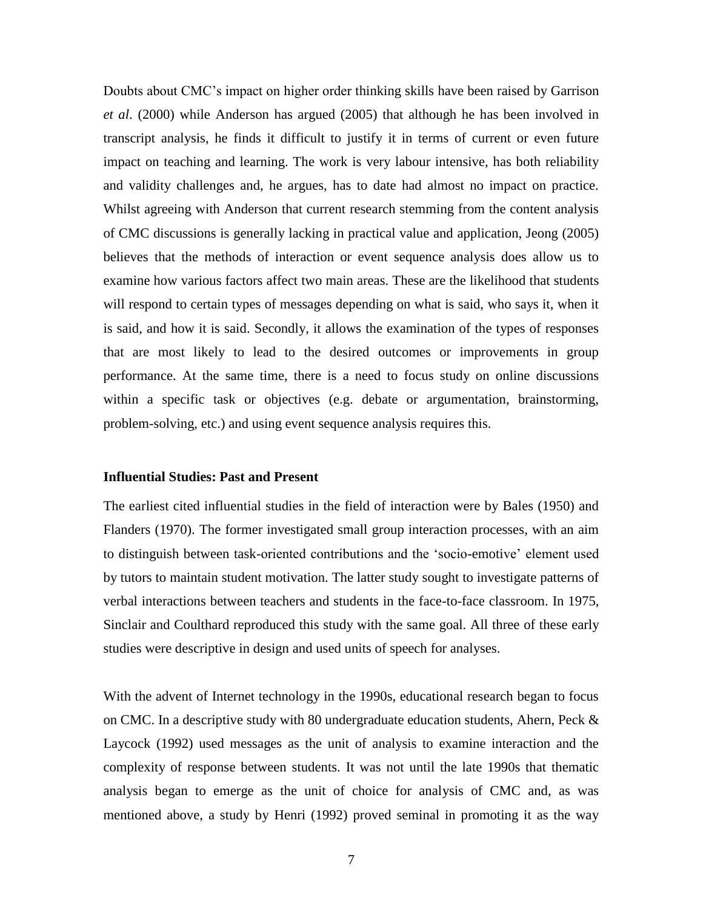Doubts about CMC's impact on higher order thinking skills have been raised by Garrison *et al*. (2000) while Anderson has argued (2005) that although he has been involved in transcript analysis, he finds it difficult to justify it in terms of current or even future impact on teaching and learning. The work is very labour intensive, has both reliability and validity challenges and, he argues, has to date had almost no impact on practice. Whilst agreeing with Anderson that current research stemming from the content analysis of CMC discussions is generally lacking in practical value and application, Jeong (2005) believes that the methods of interaction or event sequence analysis does allow us to examine how various factors affect two main areas. These are the likelihood that students will respond to certain types of messages depending on what is said, who says it, when it is said, and how it is said. Secondly, it allows the examination of the types of responses that are most likely to lead to the desired outcomes or improvements in group performance. At the same time, there is a need to focus study on online discussions within a specific task or objectives (e.g. debate or argumentation, brainstorming, problem-solving, etc.) and using event sequence analysis requires this.

#### **Influential Studies: Past and Present**

The earliest cited influential studies in the field of interaction were by Bales (1950) and Flanders (1970). The former investigated small group interaction processes, with an aim to distinguish between task-oriented contributions and the 'socio-emotive' element used by tutors to maintain student motivation. The latter study sought to investigate patterns of verbal interactions between teachers and students in the face-to-face classroom. In 1975, Sinclair and Coulthard reproduced this study with the same goal. All three of these early studies were descriptive in design and used units of speech for analyses.

With the advent of Internet technology in the 1990s, educational research began to focus on CMC. In a descriptive study with 80 undergraduate education students, Ahern, Peck  $\&$ Laycock (1992) used messages as the unit of analysis to examine interaction and the complexity of response between students. It was not until the late 1990s that thematic analysis began to emerge as the unit of choice for analysis of CMC and, as was mentioned above, a study by Henri (1992) proved seminal in promoting it as the way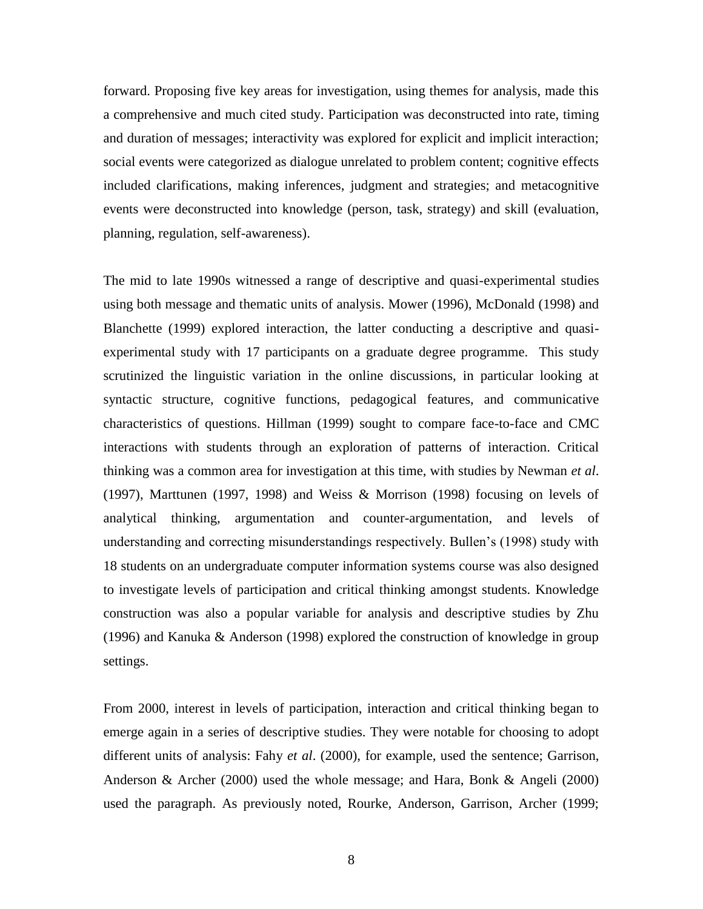forward. Proposing five key areas for investigation, using themes for analysis, made this a comprehensive and much cited study. Participation was deconstructed into rate, timing and duration of messages; interactivity was explored for explicit and implicit interaction; social events were categorized as dialogue unrelated to problem content; cognitive effects included clarifications, making inferences, judgment and strategies; and metacognitive events were deconstructed into knowledge (person, task, strategy) and skill (evaluation, planning, regulation, self-awareness).

The mid to late 1990s witnessed a range of descriptive and quasi-experimental studies using both message and thematic units of analysis. Mower (1996), McDonald (1998) and Blanchette (1999) explored interaction, the latter conducting a descriptive and quasiexperimental study with 17 participants on a graduate degree programme. This study scrutinized the linguistic variation in the online discussions, in particular looking at syntactic structure, cognitive functions, pedagogical features, and communicative characteristics of questions. Hillman (1999) sought to compare face-to-face and CMC interactions with students through an exploration of patterns of interaction. Critical thinking was a common area for investigation at this time, with studies by Newman *et al*. (1997), Marttunen (1997, 1998) and Weiss & Morrison (1998) focusing on levels of analytical thinking, argumentation and counter-argumentation, and levels of understanding and correcting misunderstandings respectively. Bullen's (1998) study with 18 students on an undergraduate computer information systems course was also designed to investigate levels of participation and critical thinking amongst students. Knowledge construction was also a popular variable for analysis and descriptive studies by Zhu (1996) and Kanuka & Anderson (1998) explored the construction of knowledge in group settings.

From 2000, interest in levels of participation, interaction and critical thinking began to emerge again in a series of descriptive studies. They were notable for choosing to adopt different units of analysis: Fahy *et al*. (2000), for example, used the sentence; Garrison, Anderson & Archer (2000) used the whole message; and Hara, Bonk & Angeli (2000) used the paragraph. As previously noted, Rourke, Anderson, Garrison, Archer (1999;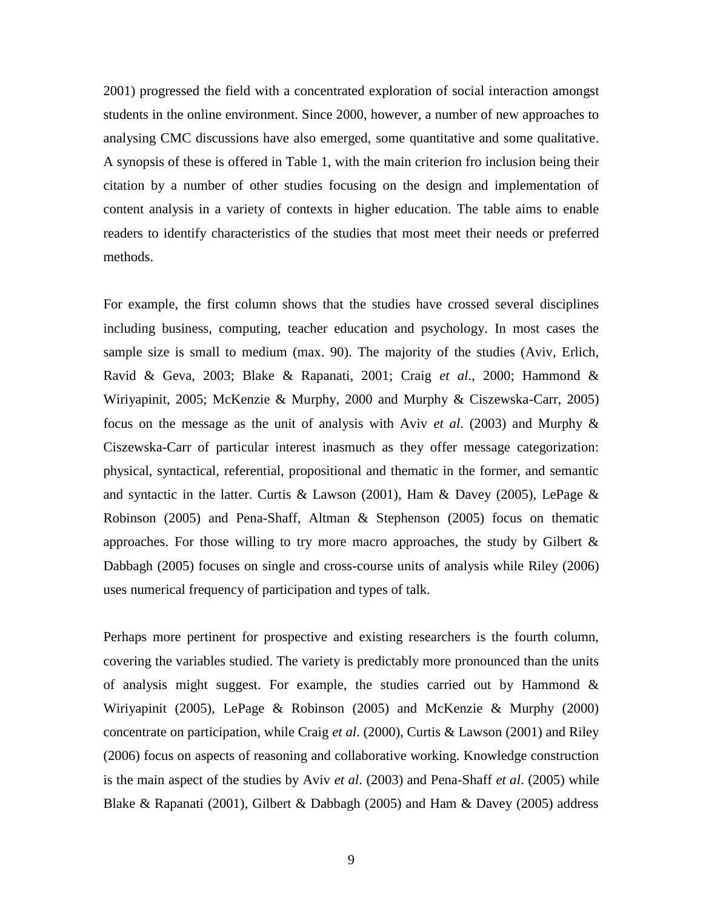2001) progressed the field with a concentrated exploration of social interaction amongst students in the online environment. Since 2000, however, a number of new approaches to analysing CMC discussions have also emerged, some quantitative and some qualitative. A synopsis of these is offered in Table 1, with the main criterion fro inclusion being their citation by a number of other studies focusing on the design and implementation of content analysis in a variety of contexts in higher education. The table aims to enable readers to identify characteristics of the studies that most meet their needs or preferred methods.

For example, the first column shows that the studies have crossed several disciplines including business, computing, teacher education and psychology. In most cases the sample size is small to medium (max. 90). The majority of the studies (Aviv, Erlich, Ravid & Geva, 2003; Blake & Rapanati, 2001; Craig *et al*., 2000; Hammond & Wiriyapinit, 2005; McKenzie & Murphy, 2000 and Murphy & Ciszewska-Carr, 2005) focus on the message as the unit of analysis with Aviv *et al*. (2003) and Murphy & Ciszewska-Carr of particular interest inasmuch as they offer message categorization: physical, syntactical, referential, propositional and thematic in the former, and semantic and syntactic in the latter. Curtis & Lawson (2001), Ham & Davey (2005), LePage & Robinson (2005) and Pena-Shaff, Altman & Stephenson (2005) focus on thematic approaches. For those willing to try more macro approaches, the study by Gilbert & Dabbagh (2005) focuses on single and cross-course units of analysis while Riley (2006) uses numerical frequency of participation and types of talk.

Perhaps more pertinent for prospective and existing researchers is the fourth column, covering the variables studied. The variety is predictably more pronounced than the units of analysis might suggest. For example, the studies carried out by Hammond  $\&$ Wiriyapinit (2005), LePage & Robinson (2005) and McKenzie & Murphy (2000) concentrate on participation, while Craig *et al*. (2000), Curtis & Lawson (2001) and Riley (2006) focus on aspects of reasoning and collaborative working. Knowledge construction is the main aspect of the studies by Aviv *et al*. (2003) and Pena-Shaff *et al*. (2005) while Blake & Rapanati (2001), Gilbert & Dabbagh (2005) and Ham & Davey (2005) address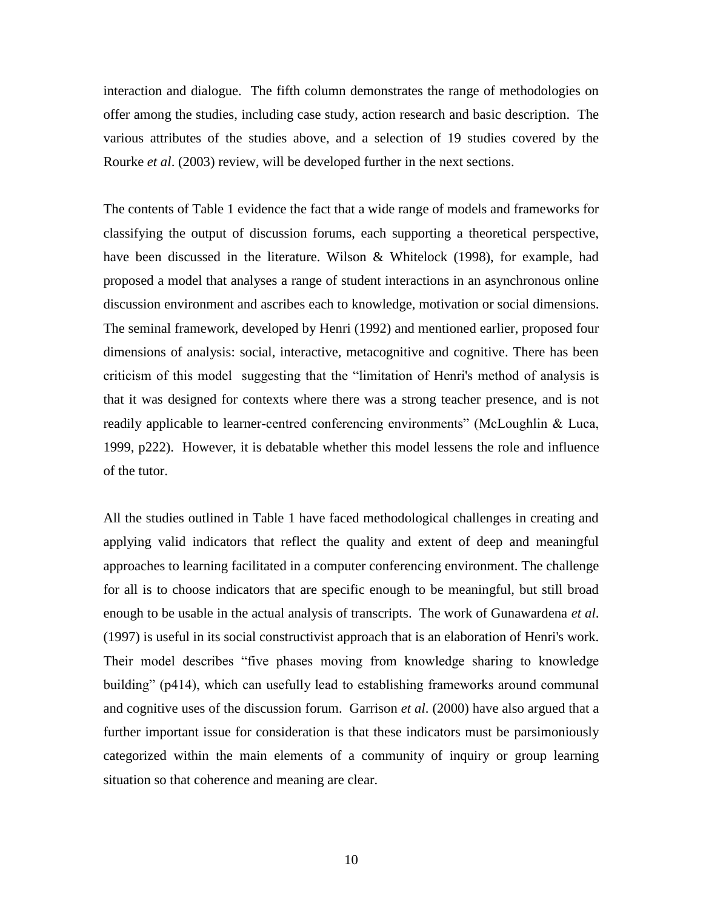interaction and dialogue. The fifth column demonstrates the range of methodologies on offer among the studies, including case study, action research and basic description. The various attributes of the studies above, and a selection of 19 studies covered by the Rourke *et al*. (2003) review, will be developed further in the next sections.

The contents of Table 1 evidence the fact that a wide range of models and frameworks for classifying the output of discussion forums, each supporting a theoretical perspective, have been discussed in the literature. Wilson & Whitelock (1998), for example, had proposed a model that analyses a range of student interactions in an asynchronous online discussion environment and ascribes each to knowledge, motivation or social dimensions. The seminal framework, developed by Henri (1992) and mentioned earlier, proposed four dimensions of analysis: social, interactive, metacognitive and cognitive. There has been criticism of this model suggesting that the "limitation of Henri's method of analysis is that it was designed for contexts where there was a strong teacher presence, and is not readily applicable to learner-centred conferencing environments" (McLoughlin & Luca, 1999, p222). However, it is debatable whether this model lessens the role and influence of the tutor.

All the studies outlined in Table 1 have faced methodological challenges in creating and applying valid indicators that reflect the quality and extent of deep and meaningful approaches to learning facilitated in a computer conferencing environment. The challenge for all is to choose indicators that are specific enough to be meaningful, but still broad enough to be usable in the actual analysis of transcripts. The work of Gunawardena *et al*. (1997) is useful in its social constructivist approach that is an elaboration of Henri's work. Their model describes "five phases moving from knowledge sharing to knowledge building" (p414), which can usefully lead to establishing frameworks around communal and cognitive uses of the discussion forum. Garrison *et al*. (2000) have also argued that a further important issue for consideration is that these indicators must be parsimoniously categorized within the main elements of a community of inquiry or group learning situation so that coherence and meaning are clear.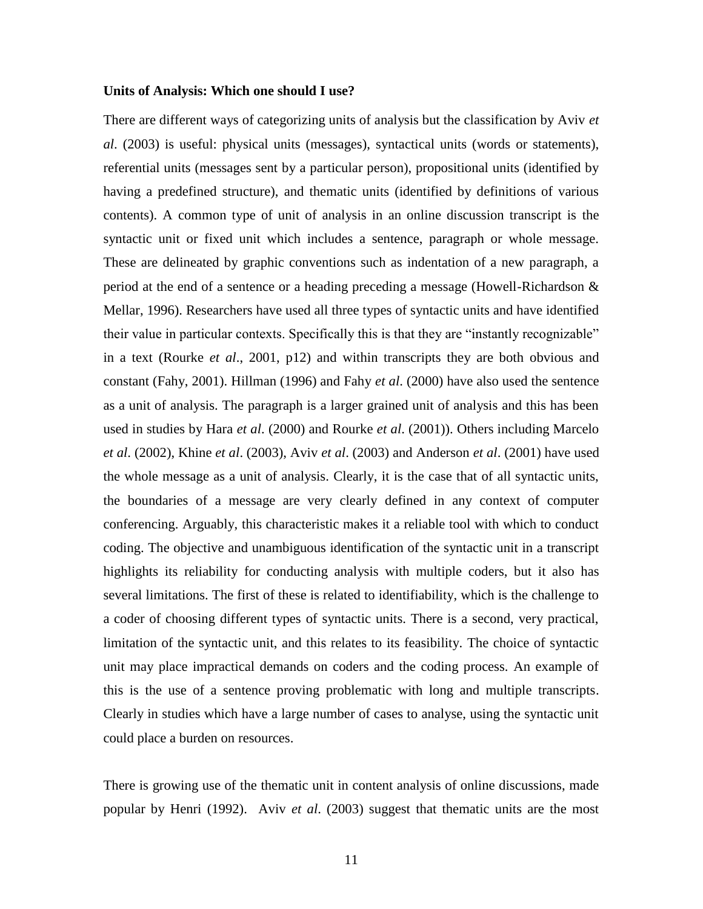#### **Units of Analysis: Which one should I use?**

There are different ways of categorizing units of analysis but the classification by Aviv *et al*. (2003) is useful: physical units (messages), syntactical units (words or statements), referential units (messages sent by a particular person), propositional units (identified by having a predefined structure), and thematic units (identified by definitions of various contents). A common type of unit of analysis in an online discussion transcript is the syntactic unit or fixed unit which includes a sentence, paragraph or whole message. These are delineated by graphic conventions such as indentation of a new paragraph, a period at the end of a sentence or a heading preceding a message (Howell-Richardson & Mellar, 1996). Researchers have used all three types of syntactic units and have identified their value in particular contexts. Specifically this is that they are "instantly recognizable" in a text (Rourke *et al*., 2001, p12) and within transcripts they are both obvious and constant (Fahy, 2001). Hillman (1996) and Fahy *et al*. (2000) have also used the sentence as a unit of analysis. The paragraph is a larger grained unit of analysis and this has been used in studies by Hara *et al*. (2000) and Rourke *et al*. (2001)). Others including Marcelo *et al*. (2002), Khine *et al*. (2003), Aviv *et al*. (2003) and Anderson *et al*. (2001) have used the whole message as a unit of analysis. Clearly, it is the case that of all syntactic units, the boundaries of a message are very clearly defined in any context of computer conferencing. Arguably, this characteristic makes it a reliable tool with which to conduct coding. The objective and unambiguous identification of the syntactic unit in a transcript highlights its reliability for conducting analysis with multiple coders, but it also has several limitations. The first of these is related to identifiability, which is the challenge to a coder of choosing different types of syntactic units. There is a second, very practical, limitation of the syntactic unit, and this relates to its feasibility. The choice of syntactic unit may place impractical demands on coders and the coding process. An example of this is the use of a sentence proving problematic with long and multiple transcripts. Clearly in studies which have a large number of cases to analyse, using the syntactic unit could place a burden on resources.

There is growing use of the thematic unit in content analysis of online discussions, made popular by Henri (1992). Aviv *et al*. (2003) suggest that thematic units are the most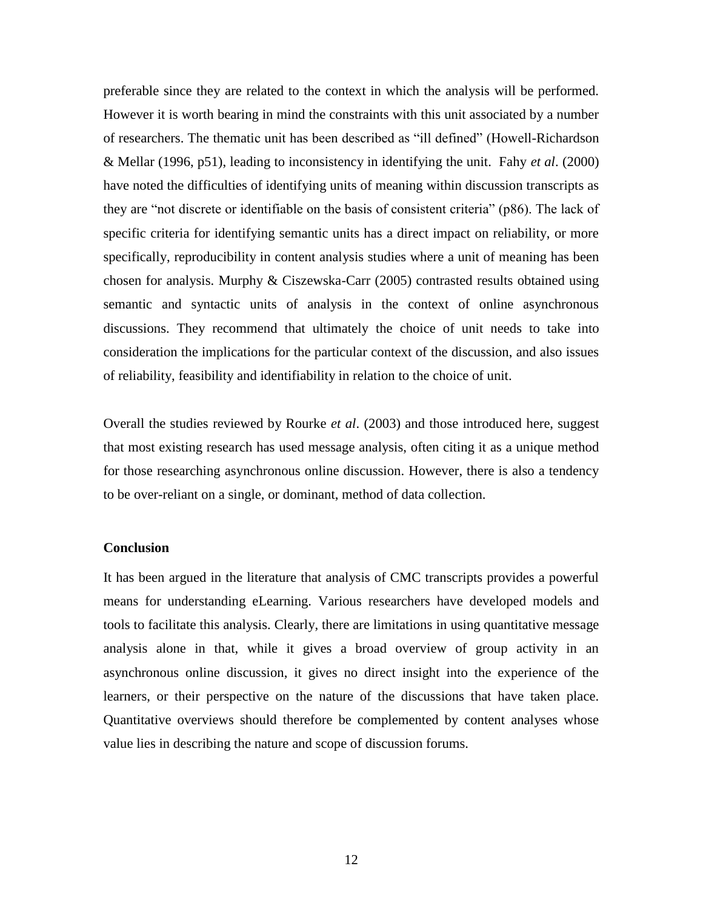preferable since they are related to the context in which the analysis will be performed. However it is worth bearing in mind the constraints with this unit associated by a number of researchers. The thematic unit has been described as "ill defined" (Howell-Richardson & Mellar (1996, p51), leading to inconsistency in identifying the unit. Fahy *et al*. (2000) have noted the difficulties of identifying units of meaning within discussion transcripts as they are "not discrete or identifiable on the basis of consistent criteria" (p86). The lack of specific criteria for identifying semantic units has a direct impact on reliability, or more specifically, reproducibility in content analysis studies where a unit of meaning has been chosen for analysis. Murphy & Ciszewska-Carr (2005) contrasted results obtained using semantic and syntactic units of analysis in the context of online asynchronous discussions. They recommend that ultimately the choice of unit needs to take into consideration the implications for the particular context of the discussion, and also issues of reliability, feasibility and identifiability in relation to the choice of unit.

Overall the studies reviewed by Rourke *et al*. (2003) and those introduced here, suggest that most existing research has used message analysis, often citing it as a unique method for those researching asynchronous online discussion. However, there is also a tendency to be over-reliant on a single, or dominant, method of data collection.

#### **Conclusion**

It has been argued in the literature that analysis of CMC transcripts provides a powerful means for understanding eLearning. Various researchers have developed models and tools to facilitate this analysis. Clearly, there are limitations in using quantitative message analysis alone in that, while it gives a broad overview of group activity in an asynchronous online discussion, it gives no direct insight into the experience of the learners, or their perspective on the nature of the discussions that have taken place. Quantitative overviews should therefore be complemented by content analyses whose value lies in describing the nature and scope of discussion forums.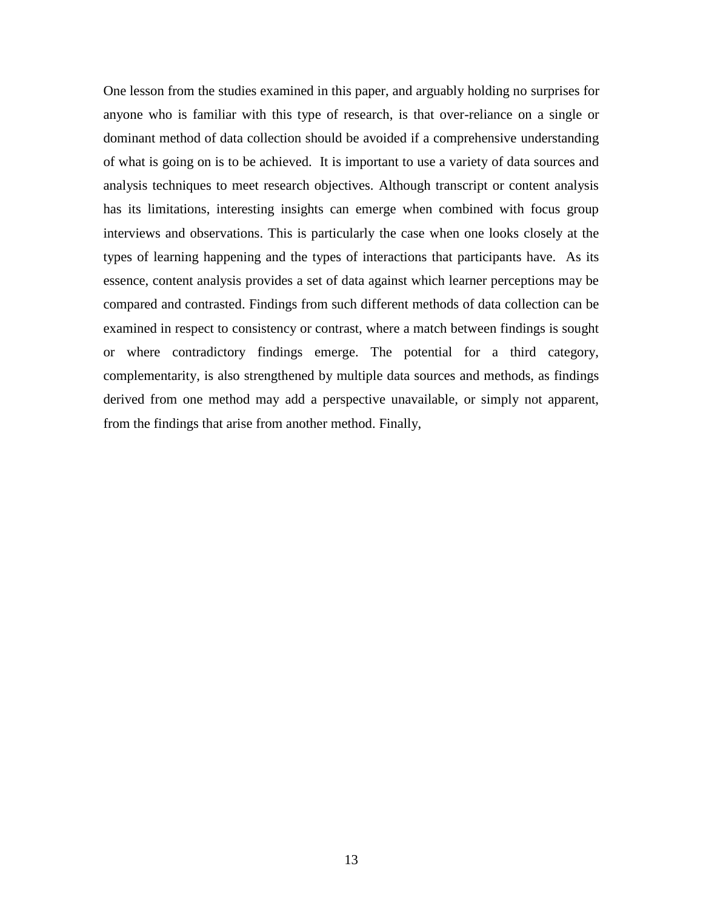One lesson from the studies examined in this paper, and arguably holding no surprises for anyone who is familiar with this type of research, is that over-reliance on a single or dominant method of data collection should be avoided if a comprehensive understanding of what is going on is to be achieved. It is important to use a variety of data sources and analysis techniques to meet research objectives. Although transcript or content analysis has its limitations, interesting insights can emerge when combined with focus group interviews and observations. This is particularly the case when one looks closely at the types of learning happening and the types of interactions that participants have. As its essence, content analysis provides a set of data against which learner perceptions may be compared and contrasted. Findings from such different methods of data collection can be examined in respect to consistency or contrast, where a match between findings is sought or where contradictory findings emerge. The potential for a third category, complementarity, is also strengthened by multiple data sources and methods, as findings derived from one method may add a perspective unavailable, or simply not apparent, from the findings that arise from another method. Finally,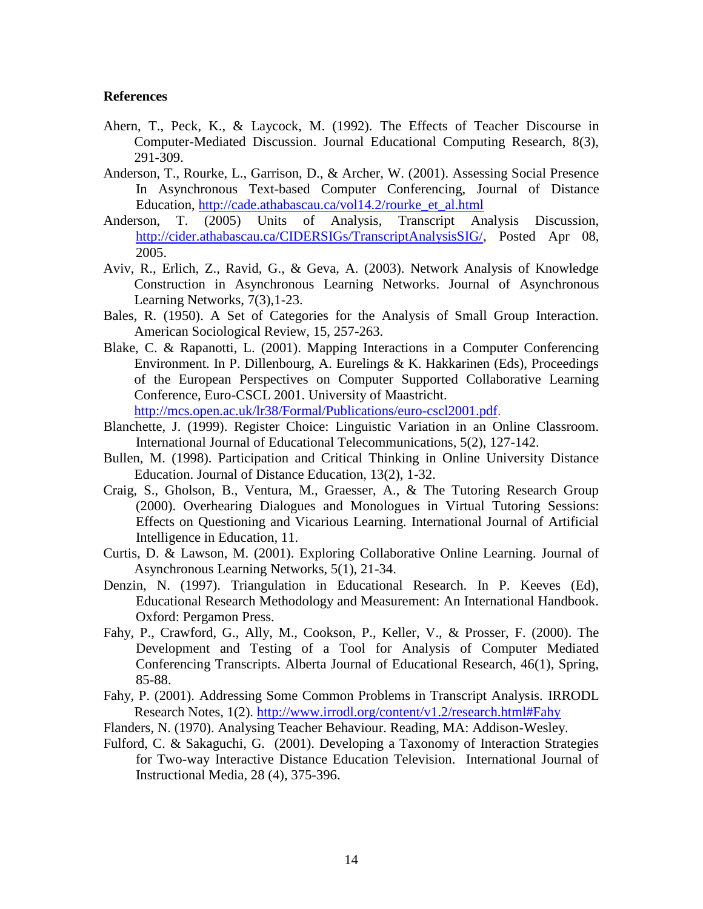#### **References**

- Ahern, T., Peck, K., & Laycock, M. (1992). The Effects of Teacher Discourse in Computer-Mediated Discussion. Journal Educational Computing Research, 8(3), 291-309.
- Anderson, T., Rourke, L., Garrison, D., & Archer, W. (2001). Assessing Social Presence In Asynchronous Text-based Computer Conferencing, Journal of Distance Education, [http://cade.athabascau.ca/vol14.2/rourke\\_et\\_al.html](http://cade.athabascau.ca/vol14.2/rourke_et_al.html)
- Anderson, T. (2005) Units of Analysis, Transcript Analysis Discussion, [http://cider.athabascau.ca/CIDERSIGs/TranscriptAnalysisSIG/,](http://cider.athabascau.ca/CIDERSIGs/TranscriptAnalysisSIG/) Posted Apr 08, 2005.
- Aviv, R., Erlich, Z., Ravid, G., & Geva, A. (2003). Network Analysis of Knowledge Construction in Asynchronous Learning Networks. Journal of Asynchronous Learning Networks, 7(3),1-23.
- Bales, R. (1950). A Set of Categories for the Analysis of Small Group Interaction. American Sociological Review, 15, 257-263.
- Blake, C. & Rapanotti, L. (2001). Mapping Interactions in a Computer Conferencing Environment. In P. Dillenbourg, A. Eurelings & K. Hakkarinen (Eds), Proceedings of the European Perspectives on Computer Supported Collaborative Learning Conference, Euro-CSCL 2001. University of Maastricht.

[http://mcs.open.ac.uk/lr38/Formal/Publications/euro-cscl2001.pdf.](http://mcs.open.ac.uk/lr38/Formal/Publications/euro-cscl2001.pdf)

- Blanchette, J. (1999). Register Choice: Linguistic Variation in an Online Classroom. International Journal of Educational Telecommunications, 5(2), 127-142.
- Bullen, M. (1998). Participation and Critical Thinking in Online University Distance Education. Journal of Distance Education, 13(2), 1-32.
- Craig, S., Gholson, B., Ventura, M., Graesser, A., & The Tutoring Research Group (2000). Overhearing Dialogues and Monologues in Virtual Tutoring Sessions: Effects on Questioning and Vicarious Learning. International Journal of Artificial Intelligence in Education*,* 11.
- Curtis, D. & Lawson, M. (2001). Exploring Collaborative Online Learning. Journal of Asynchronous Learning Networks, 5(1), 21-34.
- Denzin, N. (1997). Triangulation in Educational Research. In P. Keeves (Ed), Educational Research Methodology and Measurement: An International Handbook. Oxford: Pergamon Press.
- Fahy, P., Crawford, G., Ally, M., Cookson, P., Keller, V., & Prosser, F. (2000). The Development and Testing of a Tool for Analysis of Computer Mediated Conferencing Transcripts. Alberta Journal of Educational Research, 46(1), Spring, 85-88.
- Fahy, P. (2001). Addressing Some Common Problems in Transcript Analysis. IRRODL Research Notes, 1(2).<http://www.irrodl.org/content/v1.2/research.html#Fahy>
- Flanders, N. (1970). Analysing Teacher Behaviour. Reading, MA: Addison-Wesley.
- Fulford, C. & Sakaguchi, G. (2001). Developing a Taxonomy of Interaction Strategies for Two-way Interactive Distance Education Television. International Journal of Instructional Media*,* 28 (4), 375-396.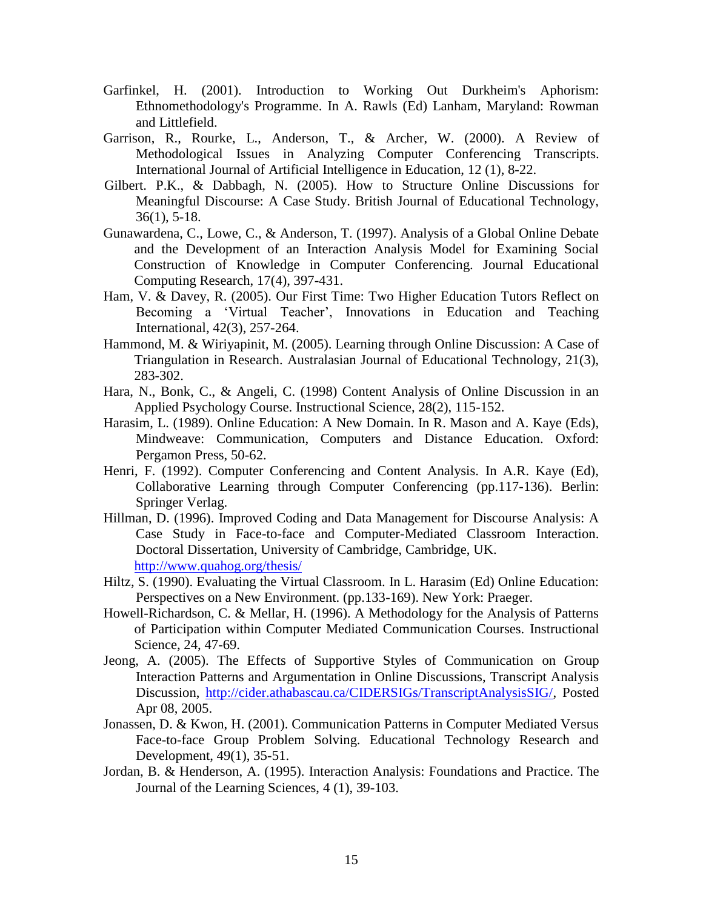- Garfinkel, H. (2001). Introduction to Working Out Durkheim's Aphorism: Ethnomethodology's Programme. In A. Rawls (Ed) Lanham, Maryland: Rowman and Littlefield.
- Garrison, R., Rourke, L., Anderson, T., & Archer, W. (2000). A Review of Methodological Issues in Analyzing Computer Conferencing Transcripts. International Journal of Artificial Intelligence in Education, 12 (1), 8-22.
- Gilbert. P.K., & Dabbagh, N. (2005). How to Structure Online Discussions for Meaningful Discourse: A Case Study. British Journal of Educational Technology, 36(1), 5-18.
- Gunawardena, C., Lowe, C., & Anderson, T. (1997). Analysis of a Global Online Debate and the Development of an Interaction Analysis Model for Examining Social Construction of Knowledge in Computer Conferencing. Journal Educational Computing Research, 17(4), 397-431.
- Ham, V. & Davey, R. (2005). Our First Time: Two Higher Education Tutors Reflect on Becoming a 'Virtual Teacher', Innovations in Education and Teaching International, 42(3), 257-264.
- Hammond, M. & Wiriyapinit, M. (2005). Learning through Online Discussion: A Case of Triangulation in Research. Australasian Journal of Educational Technology, 21(3), 283-302.
- Hara, N., Bonk, C., & Angeli, C. (1998) Content Analysis of Online Discussion in an Applied Psychology Course. Instructional Science, 28(2), 115-152.
- Harasim, L. (1989). Online Education: A New Domain. In R. Mason and A. Kaye (Eds), Mindweave: Communication, Computers and Distance Education. Oxford: Pergamon Press, 50-62.
- Henri, F. (1992). Computer Conferencing and Content Analysis. In A.R. Kaye (Ed), Collaborative Learning through Computer Conferencing (pp.117-136). Berlin: Springer Verlag.
- Hillman, D. (1996). Improved Coding and Data Management for Discourse Analysis: A Case Study in Face-to-face and Computer-Mediated Classroom Interaction. Doctoral Dissertation, University of Cambridge, Cambridge, UK. <http://www.quahog.org/thesis/>
- Hiltz, S. (1990). Evaluating the Virtual Classroom. In L. Harasim (Ed) Online Education: Perspectives on a New Environment. (pp.133-169). New York: Praeger.
- Howell-Richardson, C. & Mellar, H. (1996). A Methodology for the Analysis of Patterns of Participation within Computer Mediated Communication Courses. Instructional Science, 24, 47-69.
- Jeong, A. (2005). The Effects of Supportive Styles of Communication on Group Interaction Patterns and Argumentation in Online Discussions, Transcript Analysis Discussion, [http://cider.athabascau.ca/CIDERSIGs/TranscriptAnalysisSIG/,](http://cider.athabascau.ca/CIDERSIGs/TranscriptAnalysisSIG/) Posted Apr 08, 2005.
- Jonassen, D. & Kwon, H. (2001). Communication Patterns in Computer Mediated Versus Face-to-face Group Problem Solving. Educational Technology Research and Development, 49(1), 35-51.
- Jordan, B. & Henderson, A. (1995). Interaction Analysis: Foundations and Practice. The Journal of the Learning Sciences, 4 (1), 39-103.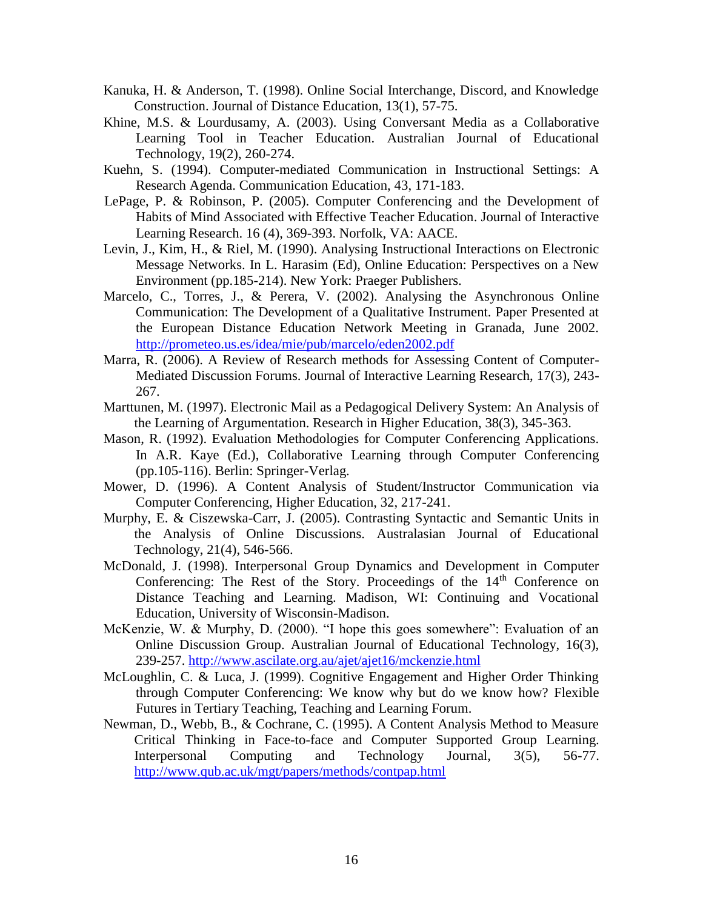- Kanuka, H. & Anderson, T. (1998). Online Social Interchange, Discord, and Knowledge Construction. Journal of Distance Education, 13(1), 57-75.
- Khine, M.S. & Lourdusamy, A. (2003). Using Conversant Media as a Collaborative Learning Tool in Teacher Education. Australian Journal of Educational Technology, 19(2), 260-274.
- Kuehn, S. (1994). Computer-mediated Communication in Instructional Settings: A Research Agenda. Communication Education, 43, 171-183.
- LePage, P. & Robinson, P. (2005). Computer Conferencing and the Development of Habits of Mind Associated with Effective Teacher Education. Journal of Interactive Learning Research. 16 (4), 369-393. Norfolk, VA: AACE.
- Levin, J., Kim, H., & Riel, M. (1990). Analysing Instructional Interactions on Electronic Message Networks. In L. Harasim (Ed), Online Education: Perspectives on a New Environment (pp.185-214). New York: Praeger Publishers.
- Marcelo, C., Torres, J., & Perera, V. (2002). Analysing the Asynchronous Online Communication: The Development of a Qualitative Instrument. Paper Presented at the European Distance Education Network Meeting in Granada, June 2002. <http://prometeo.us.es/idea/mie/pub/marcelo/eden2002.pdf>
- Marra, R. (2006). A Review of Research methods for Assessing Content of Computer-Mediated Discussion Forums. Journal of Interactive Learning Research, 17(3), 243- 267.
- Marttunen, M. (1997). Electronic Mail as a Pedagogical Delivery System: An Analysis of the Learning of Argumentation. Research in Higher Education, 38(3), 345-363.
- Mason, R. (1992). Evaluation Methodologies for Computer Conferencing Applications. In A.R. Kaye (Ed.), Collaborative Learning through Computer Conferencing (pp.105-116). Berlin: Springer-Verlag.
- Mower, D. (1996). A Content Analysis of Student/Instructor Communication via Computer Conferencing, Higher Education, 32, 217-241.
- Murphy, E. & Ciszewska-Carr, J. (2005). Contrasting Syntactic and Semantic Units in the Analysis of Online Discussions. Australasian Journal of Educational Technology, 21(4), 546-566.
- McDonald, J. (1998). Interpersonal Group Dynamics and Development in Computer Conferencing: The Rest of the Story. Proceedings of the  $14<sup>th</sup>$  Conference on Distance Teaching and Learning. Madison, WI: Continuing and Vocational Education, University of Wisconsin-Madison.
- McKenzie, W. & Murphy, D. (2000). "I hope this goes somewhere": Evaluation of an Online Discussion Group. Australian Journal of Educational Technology, 16(3), 239-257.<http://www.ascilate.org.au/ajet/ajet16/mckenzie.html>
- McLoughlin, C. & Luca, J. (1999). Cognitive Engagement and Higher Order Thinking through Computer Conferencing: We know why but do we know how? Flexible Futures in Tertiary Teaching, Teaching and Learning Forum.
- Newman, D., Webb, B., & Cochrane, C. (1995). A Content Analysis Method to Measure Critical Thinking in Face-to-face and Computer Supported Group Learning. Interpersonal Computing and Technology Journal, 3(5), 56-77. <http://www.qub.ac.uk/mgt/papers/methods/contpap.html>